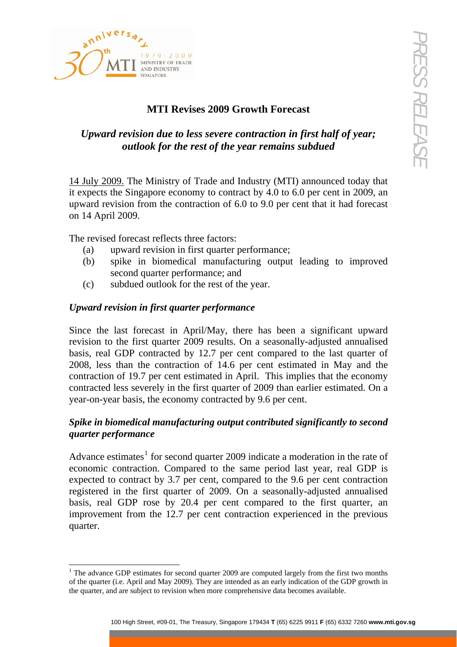

# **MTI Revises 2009 Growth Forecast**

## *Upward revision due to less severe contraction in first half of year; outlook for the rest of the year remains subdued*

14 July 2009. The Ministry of Trade and Industry (MTI) announced today that it expects the Singapore economy to contract by 4.0 to 6.0 per cent in 2009, an upward revision from the contraction of 6.0 to 9.0 per cent that it had forecast on 14 April 2009.

The revised forecast reflects three factors:

- (a) upward revision in first quarter performance;
- (b) spike in biomedical manufacturing output leading to improved second quarter performance; and
- (c) subdued outlook for the rest of the year.

### *Upward revision in first quarter performance*

**EVALUATE:**<br> **EVALUATE ACCESS AND STREET STREET AND STREET STREET STREET AND SCREET AND SCREET AND SCREET AND SCREET AND SCREET AND SCREET AND SCREET AND SCREET AND SCREET AND SCREET AND SCREET AND SCREET AND SCREET AND S** Since the last forecast in April/May, there has been a significant upward revision to the first quarter 2009 results. On a seasonally-adjusted annualised basis, real GDP contracted by 12.7 per cent compared to the last quarter of 2008, less than the contraction of 14.6 per cent estimated in May and the contraction of 19.7 per cent estimated in April. This implies that the economy contracted less severely in the first quarter of 2009 than earlier estimated. On a year-on-year basis, the economy contracted by 9.6 per cent.

### *Spike in biomedical manufacturing output contributed significantly to second quarter performance*

Advance estimates<sup>[1](#page-0-0)</sup> for second quarter 2009 indicate a moderation in the rate of economic contraction. Compared to the same period last year, real GDP is expected to contract by 3.7 per cent, compared to the 9.6 per cent contraction registered in the first quarter of 2009. On a seasonally-adjusted annualised basis, real GDP rose by 20.4 per cent compared to the first quarter, an improvement from the 12.7 per cent contraction experienced in the previous quarter.

<span id="page-0-0"></span><sup>-</sup><sup>1</sup> The advance GDP estimates for second quarter 2009 are computed largely from the first two months of the quarter (i.e. April and May 2009). They are intended as an early indication of the GDP growth in the quarter, and are subject to revision when more comprehensive data becomes available.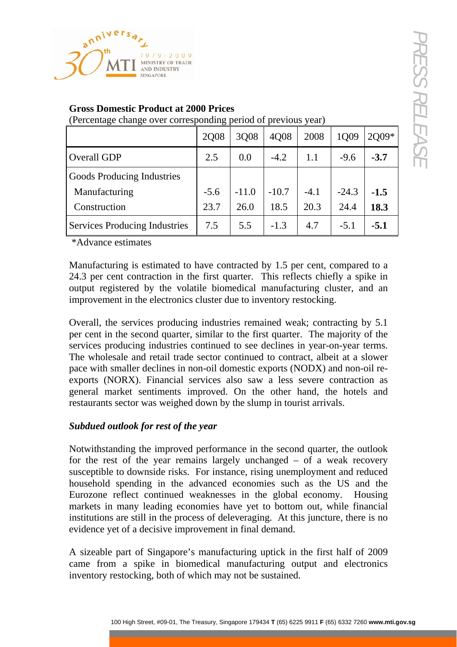

|                                                                                                                                                                                                                                                                                                                                                                                                                                                                                                                                                                                                                         | 2Q08   | 3Q08    | 4Q08    | 2008   | 1Q09    | 2Q09*  |
|-------------------------------------------------------------------------------------------------------------------------------------------------------------------------------------------------------------------------------------------------------------------------------------------------------------------------------------------------------------------------------------------------------------------------------------------------------------------------------------------------------------------------------------------------------------------------------------------------------------------------|--------|---------|---------|--------|---------|--------|
| <b>Overall GDP</b>                                                                                                                                                                                                                                                                                                                                                                                                                                                                                                                                                                                                      | 2.5    | 0.0     | $-4.2$  | 1.1    | $-9.6$  | $-3.7$ |
| Goods Producing Industries                                                                                                                                                                                                                                                                                                                                                                                                                                                                                                                                                                                              |        |         |         |        |         |        |
| Manufacturing                                                                                                                                                                                                                                                                                                                                                                                                                                                                                                                                                                                                           | $-5.6$ | $-11.0$ | $-10.7$ | $-4.1$ | $-24.3$ | $-1.5$ |
| Construction                                                                                                                                                                                                                                                                                                                                                                                                                                                                                                                                                                                                            | 23.7   | 26.0    | 18.5    | 20.3   | 24.4    | 18.3   |
| <b>Services Producing Industries</b>                                                                                                                                                                                                                                                                                                                                                                                                                                                                                                                                                                                    | 7.5    | 5.5     | $-1.3$  | 4.7    | $-5.1$  | $-5.1$ |
| services producing industries continued to see declines in year-on-year terms.<br>The wholesale and retail trade sector continued to contract, albeit at a slower<br>pace with smaller declines in non-oil domestic exports (NODX) and non-oil re-<br>exports (NORX). Financial services also saw a less severe contraction as<br>general market sentiments improved. On the other hand, the hotels and<br>restaurants sector was weighed down by the slump in tourist arrivals.<br>Subdued outlook for rest of the year                                                                                                |        |         |         |        |         |        |
| Notwithstanding the improved performance in the second quarter, the outlook<br>for the rest of the year remains largely unchanged $-$ of a weak recovery<br>susceptible to downside risks. For instance, rising unemployment and reduced<br>household spending in the advanced economies such as the US and the<br>Eurozone reflect continued weaknesses in the global economy. Housing<br>markets in many leading economies have yet to bottom out, while financial<br>institutions are still in the process of deleveraging. At this juncture, there is no<br>evidence yet of a decisive improvement in final demand. |        |         |         |        |         |        |
| A sizeable part of Singapore's manufacturing uptick in the first half of 2009<br>came from a spike in biomedical manufacturing output and electronics<br>inventory restocking, both of which may not be sustained.                                                                                                                                                                                                                                                                                                                                                                                                      |        |         |         |        |         |        |
|                                                                                                                                                                                                                                                                                                                                                                                                                                                                                                                                                                                                                         |        |         |         |        |         |        |

#### **Gross Domestic Product at 2000 Prices**

### *Subdued outlook for rest of the year*